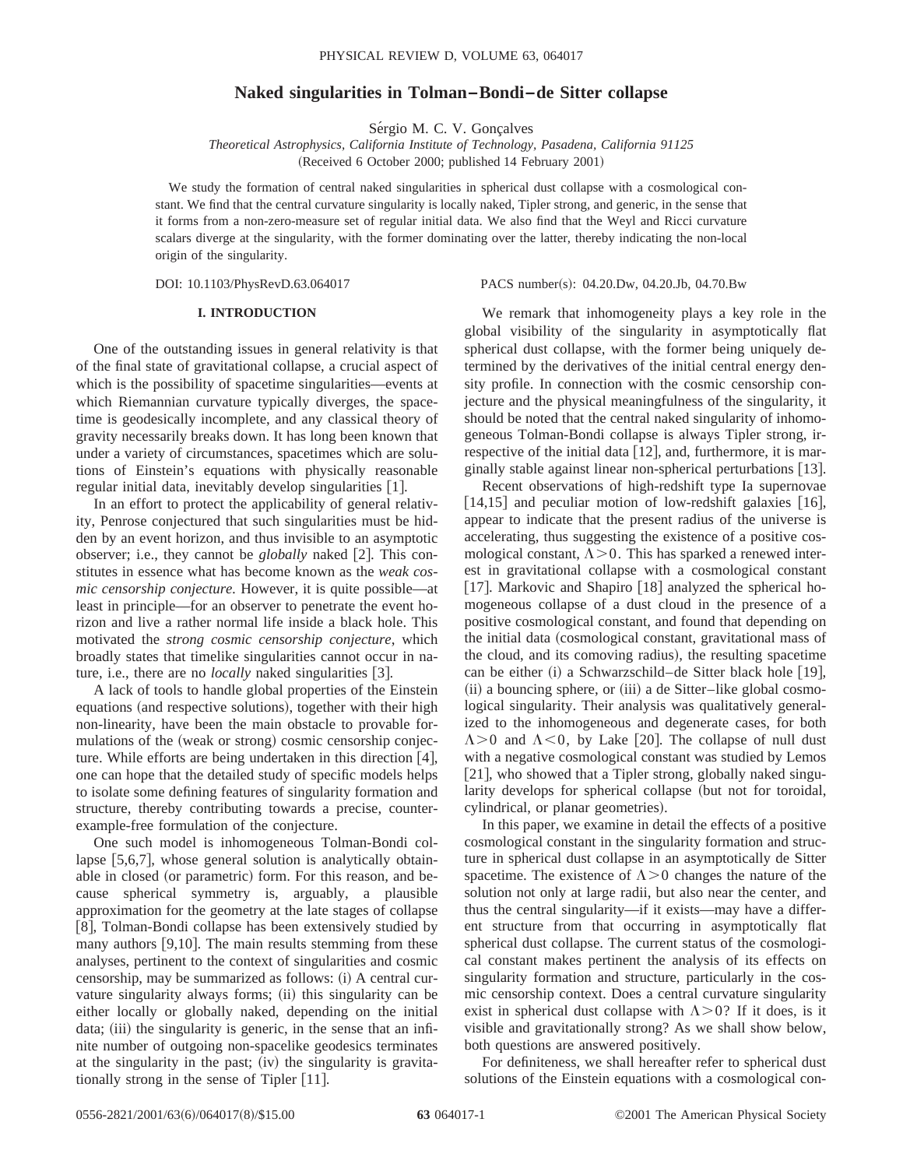# **Naked singularities in Tolman–Bondi–de Sitter collapse**

Sérgio M. C. V. Gonçalves

*Theoretical Astrophysics, California Institute of Technology, Pasadena, California 91125* (Received 6 October 2000; published 14 February 2001)

We study the formation of central naked singularities in spherical dust collapse with a cosmological constant. We find that the central curvature singularity is locally naked, Tipler strong, and generic, in the sense that it forms from a non-zero-measure set of regular initial data. We also find that the Weyl and Ricci curvature scalars diverge at the singularity, with the former dominating over the latter, thereby indicating the non-local origin of the singularity.

DOI: 10.1103/PhysRevD.63.064017 PACS number(s): 04.20.Dw, 04.20.Jb, 04.70.Bw

# **I. INTRODUCTION**

One of the outstanding issues in general relativity is that of the final state of gravitational collapse, a crucial aspect of which is the possibility of spacetime singularities—events at which Riemannian curvature typically diverges, the spacetime is geodesically incomplete, and any classical theory of gravity necessarily breaks down. It has long been known that under a variety of circumstances, spacetimes which are solutions of Einstein's equations with physically reasonable regular initial data, inevitably develop singularities  $[1]$ .

In an effort to protect the applicability of general relativity, Penrose conjectured that such singularities must be hidden by an event horizon, and thus invisible to an asymptotic observer; i.e., they cannot be *globally* naked [2]. This constitutes in essence what has become known as the *weak cosmic censorship conjecture.* However, it is quite possible—at least in principle—for an observer to penetrate the event horizon and live a rather normal life inside a black hole. This motivated the *strong cosmic censorship conjecture*, which broadly states that timelike singularities cannot occur in nature, i.e., there are no *locally* naked singularities [3].

A lack of tools to handle global properties of the Einstein equations (and respective solutions), together with their high non-linearity, have been the main obstacle to provable formulations of the (weak or strong) cosmic censorship conjecture. While efforts are being undertaken in this direction  $[4]$ , one can hope that the detailed study of specific models helps to isolate some defining features of singularity formation and structure, thereby contributing towards a precise, counterexample-free formulation of the conjecture.

One such model is inhomogeneous Tolman-Bondi collapse  $[5,6,7]$ , whose general solution is analytically obtainable in closed (or parametric) form. For this reason, and because spherical symmetry is, arguably, a plausible approximation for the geometry at the late stages of collapse [8], Tolman-Bondi collapse has been extensively studied by many authors  $[9,10]$ . The main results stemming from these analyses, pertinent to the context of singularities and cosmic censorship, may be summarized as follows: (i) A central curvature singularity always forms; (ii) this singularity can be either locally or globally naked, depending on the initial data; (iii) the singularity is generic, in the sense that an infinite number of outgoing non-spacelike geodesics terminates at the singularity in the past;  $(iv)$  the singularity is gravitationally strong in the sense of Tipler  $[11]$ .

We remark that inhomogeneity plays a key role in the global visibility of the singularity in asymptotically flat spherical dust collapse, with the former being uniquely determined by the derivatives of the initial central energy density profile. In connection with the cosmic censorship conjecture and the physical meaningfulness of the singularity, it should be noted that the central naked singularity of inhomogeneous Tolman-Bondi collapse is always Tipler strong, irrespective of the initial data  $[12]$ , and, furthermore, it is marginally stable against linear non-spherical perturbations [13].

Recent observations of high-redshift type Ia supernovae  $[14,15]$  and peculiar motion of low-redshift galaxies  $[16]$ , appear to indicate that the present radius of the universe is accelerating, thus suggesting the existence of a positive cosmological constant,  $\Lambda > 0$ . This has sparked a renewed interest in gravitational collapse with a cosmological constant [17]. Markovic and Shapiro [18] analyzed the spherical homogeneous collapse of a dust cloud in the presence of a positive cosmological constant, and found that depending on the initial data (cosmological constant, gravitational mass of the cloud, and its comoving radius), the resulting spacetime can be either  $(i)$  a Schwarzschild–de Sitter black hole  $[19]$ , (ii) a bouncing sphere, or (iii) a de Sitter–like global cosmological singularity. Their analysis was qualitatively generalized to the inhomogeneous and degenerate cases, for both  $\Lambda > 0$  and  $\Lambda < 0$ , by Lake [20]. The collapse of null dust with a negative cosmological constant was studied by Lemos  $[21]$ , who showed that a Tipler strong, globally naked singularity develops for spherical collapse (but not for toroidal, cylindrical, or planar geometries).

In this paper, we examine in detail the effects of a positive cosmological constant in the singularity formation and structure in spherical dust collapse in an asymptotically de Sitter spacetime. The existence of  $\Lambda > 0$  changes the nature of the solution not only at large radii, but also near the center, and thus the central singularity—if it exists—may have a different structure from that occurring in asymptotically flat spherical dust collapse. The current status of the cosmological constant makes pertinent the analysis of its effects on singularity formation and structure, particularly in the cosmic censorship context. Does a central curvature singularity exist in spherical dust collapse with  $\Lambda > 0$ ? If it does, is it visible and gravitationally strong? As we shall show below, both questions are answered positively.

For definiteness, we shall hereafter refer to spherical dust solutions of the Einstein equations with a cosmological con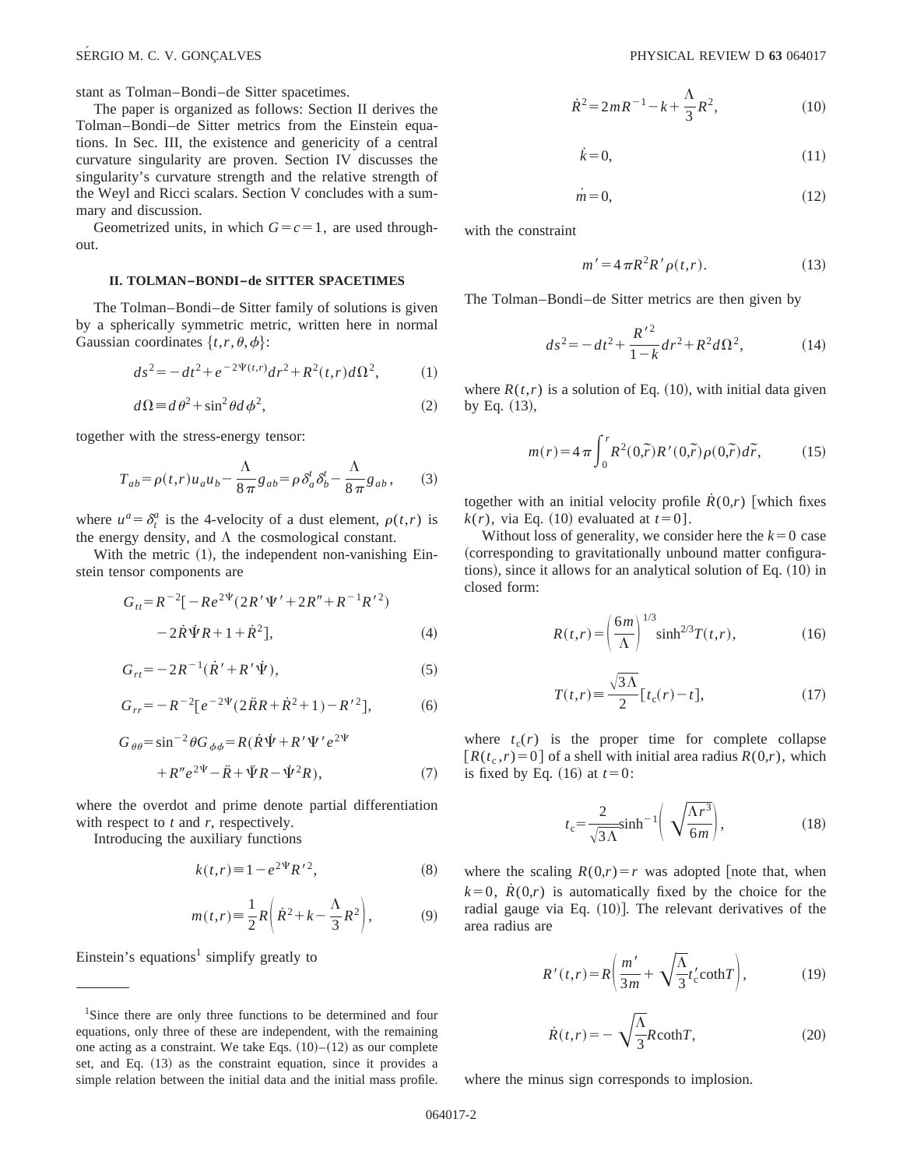SÉRGIO M. C. V. GONCALVES **PHYSICAL REVIEW D** 63 064017

stant as Tolman–Bondi–de Sitter spacetimes.

The paper is organized as follows: Section II derives the Tolman–Bondi–de Sitter metrics from the Einstein equations. In Sec. III, the existence and genericity of a central curvature singularity are proven. Section IV discusses the singularity's curvature strength and the relative strength of the Weyl and Ricci scalars. Section V concludes with a summary and discussion.

Geometrized units, in which  $G = c = 1$ , are used throughout.

# **II. TOLMAN–BONDI–de SITTER SPACETIMES**

The Tolman–Bondi–de Sitter family of solutions is given by a spherically symmetric metric, written here in normal Gaussian coordinates  $\{t, r, \theta, \phi\}$ :

$$
ds^{2} = -dt^{2} + e^{-2\Psi(t,r)}dr^{2} + R^{2}(t,r)d\Omega^{2}, \qquad (1)
$$

$$
d\Omega \equiv d\theta^2 + \sin^2\theta d\phi^2,\tag{2}
$$

together with the stress-energy tensor:

$$
T_{ab} = \rho(t,r)u_a u_b - \frac{\Lambda}{8\pi} g_{ab} = \rho \delta_a' \delta_b' - \frac{\Lambda}{8\pi} g_{ab} ,\qquad (3)
$$

where  $u^a = \delta_t^a$  is the 4-velocity of a dust element,  $\rho(t,r)$  is the energy density, and  $\Lambda$  the cosmological constant.

With the metric  $(1)$ , the independent non-vanishing Einstein tensor components are

$$
G_{tt} = R^{-2}[-Re^{2\Psi}(2R'\Psi' + 2R'' + R^{-1}R'^{2}) - 2\dot{R}\Psi R + 1 + \dot{R}^{2}],
$$
\n(4)

$$
G_{rt} = -2R^{-1}(\dot{R}' + R'\Psi),
$$
\n(5)

$$
G_{rr} = -R^{-2} [e^{-2\Psi} (2\ddot{R}R + \dot{R}^2 + 1) - R'^2],
$$
 (6)

$$
G_{\theta\theta} = \sin^{-2}\theta G_{\phi\phi} = R(\dot{R}\dot{\Psi} + R'\Psi' e^{2\Psi} + R''e^{2\Psi} - \ddot{R} + \ddot{\Psi}R - \dot{\Psi}^2R),
$$
 (7)

where the overdot and prime denote partial differentiation with respect to *t* and *r*, respectively.

Introducing the auxiliary functions

$$
k(t,r) \equiv 1 - e^{2\Psi} R^{\prime 2},\tag{8}
$$

$$
m(t,r) \equiv \frac{1}{2}R\left(\dot{R}^2 + k - \frac{\Lambda}{3}R^2\right),\tag{9}
$$

Einstein's equations<sup>1</sup> simplify greatly to

$$
\dot{R}^2 = 2mR^{-1} - k + \frac{\Lambda}{3}R^2,\tag{10}
$$

$$
\dot{k}=0,\t(11)
$$

$$
m = 0,\t(12)
$$

with the constraint

$$
m' = 4\pi R^2 R' \rho(t, r). \tag{13}
$$

The Tolman–Bondi–de Sitter metrics are then given by

$$
ds^{2} = -dt^{2} + \frac{R'^{2}}{1 - k}dr^{2} + R^{2}d\Omega^{2},
$$
 (14)

where  $R(t,r)$  is a solution of Eq. (10), with initial data given by Eq.  $(13)$ ,

$$
m(r) = 4\pi \int_0^r R^2(0,\tilde{r})R'(0,\tilde{r})\rho(0,\tilde{r})d\tilde{r},\qquad(15)
$$

together with an initial velocity profile  $\dot{R}(0,r)$  [which fixes  $k(r)$ , via Eq. (10) evaluated at  $t=0$ ].

Without loss of generality, we consider here the  $k=0$  case (corresponding to gravitationally unbound matter configurations), since it allows for an analytical solution of Eq.  $(10)$  in closed form:

$$
R(t,r) = \left(\frac{6m}{\Lambda}\right)^{1/3} \sinh^{2/3} T(t,r),\tag{16}
$$

$$
T(t,r) \equiv \frac{\sqrt{3\,\Lambda}}{2} [t_c(r) - t],\tag{17}
$$

where  $t_c(r)$  is the proper time for complete collapse  $[R(t_c, r) = 0]$  of a shell with initial area radius  $R(0,r)$ , which is fixed by Eq.  $(16)$  at  $t=0$ :

$$
t_{\rm c} = \frac{2}{\sqrt{3}\Lambda} \sinh^{-1} \left( \sqrt{\frac{\Lambda r^3}{6m}} \right),\tag{18}
$$

where the scaling  $R(0,r)=r$  was adopted [note that, when  $k=0$ ,  $\dot{R}(0,r)$  is automatically fixed by the choice for the radial gauge via Eq.  $(10)$ ]. The relevant derivatives of the area radius are

$$
R'(t,r) = R\left(\frac{m'}{3m} + \sqrt{\frac{\Lambda}{3}}t_c' \text{coth}T\right),\tag{19}
$$

$$
\dot{R}(t,r) = -\sqrt{\frac{\Lambda}{3}} R \coth T,\tag{20}
$$

where the minus sign corresponds to implosion.

<sup>&</sup>lt;sup>1</sup>Since there are only three functions to be determined and four equations, only three of these are independent, with the remaining one acting as a constraint. We take Eqs.  $(10)–(12)$  as our complete set, and Eq.  $(13)$  as the constraint equation, since it provides a simple relation between the initial data and the initial mass profile.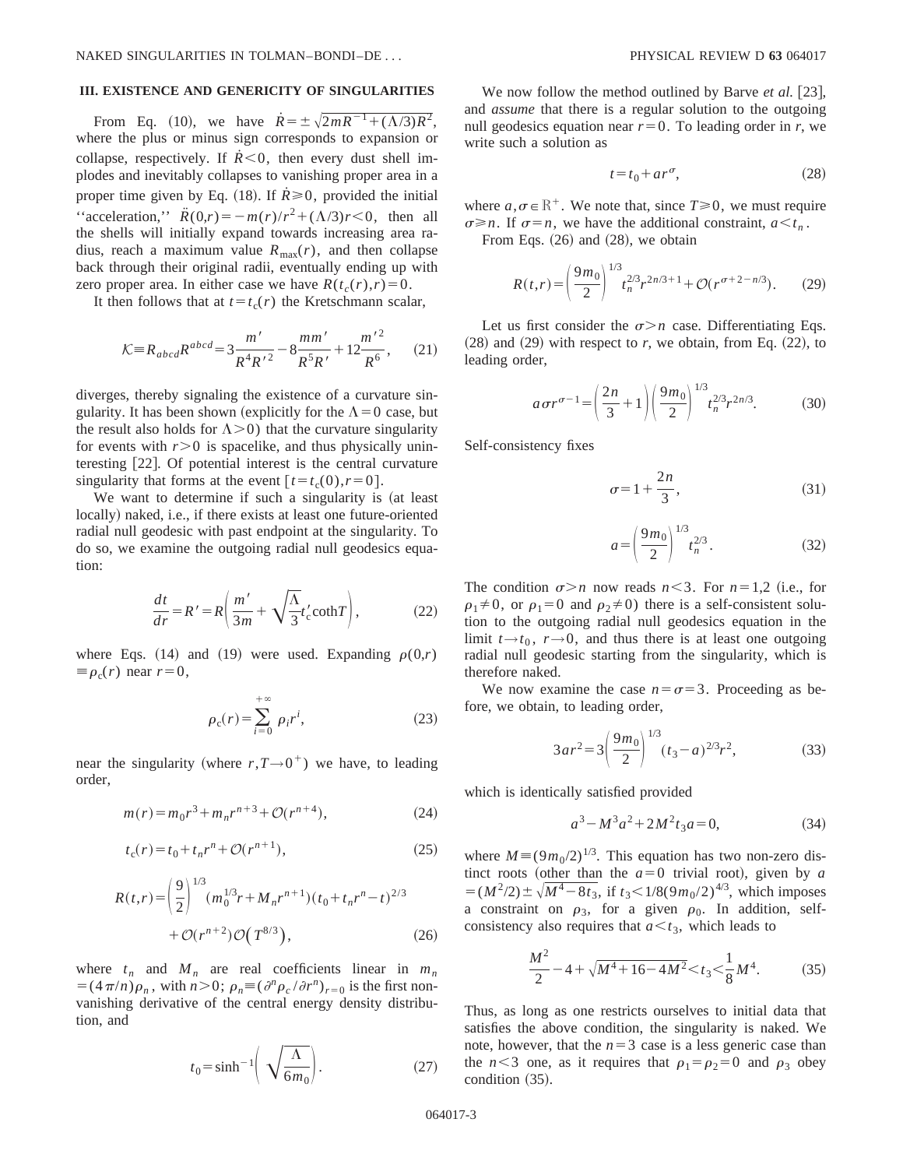### **III. EXISTENCE AND GENERICITY OF SINGULARITIES**

From Eq. (10), we have  $\dot{R} = \pm \sqrt{2mR^{-1} + (\Lambda/3)R^2}$ , where the plus or minus sign corresponds to expansion or collapse, respectively. If  $\dot{R}$  < 0, then every dust shell implodes and inevitably collapses to vanishing proper area in a proper time given by Eq.  $(18)$ . If  $R \ge 0$ , provided the initial "acceleration,"  $\ddot{R}(0,r) = -m(r)/r^2 + (\Lambda/3)r < 0$ , then all the shells will initially expand towards increasing area radius, reach a maximum value  $R_{\text{max}}(r)$ , and then collapse back through their original radii, eventually ending up with zero proper area. In either case we have  $R(t_c(r), r) = 0$ .

It then follows that at  $t = t_c(r)$  the Kretschmann scalar,

$$
\mathcal{K} = R_{abcd} R^{abcd} = 3 \frac{m'}{R^4 R'^2} - 8 \frac{m m'}{R^5 R'} + 12 \frac{m'^2}{R^6},\qquad(21)
$$

diverges, thereby signaling the existence of a curvature singularity. It has been shown (explicitly for the  $\Lambda=0$  case, but the result also holds for  $\Lambda > 0$ ) that the curvature singularity for events with  $r > 0$  is spacelike, and thus physically uninteresting  $[22]$ . Of potential interest is the central curvature singularity that forms at the event  $[t = t_c(0), r = 0]$ .

We want to determine if such a singularity is (at least locally) naked, i.e., if there exists at least one future-oriented radial null geodesic with past endpoint at the singularity. To do so, we examine the outgoing radial null geodesics equation:

$$
\frac{dt}{dr} = R' = R\left(\frac{m'}{3m} + \sqrt{\frac{\Lambda}{3}}t_c' \text{coth}T\right),\tag{22}
$$

where Eqs.  $(14)$  and  $(19)$  were used. Expanding  $\rho(0,r)$  $\equiv \rho_c(r)$  near  $r=0$ ,

$$
\rho_c(r) = \sum_{i=0}^{+\infty} \rho_i r^i, \qquad (23)
$$

near the singularity (where  $r, T \rightarrow 0^+$ ) we have, to leading order,

$$
m(r) = m_0 r^3 + m_n r^{n+3} + \mathcal{O}(r^{n+4}),\tag{24}
$$

$$
t_c(r) = t_0 + t_n r^n + \mathcal{O}(r^{n+1}),
$$
\n(25)

$$
R(t,r) = \left(\frac{9}{2}\right)^{1/3} (m_0^{1/3}r + M_n r^{n+1}) (t_0 + t_n r^n - t)^{2/3}
$$
  
+  $\mathcal{O}(r^{n+2}) \mathcal{O}(T^{8/3}),$  (26)

where  $t_n$  and  $M_n$  are real coefficients linear in  $m_n$  $=$   $(4\pi/n)\rho_n$ , with  $n>0$ ;  $\rho_n \equiv (\partial^n \rho_c / \partial r^n)_{r=0}$  is the first nonvanishing derivative of the central energy density distribution, and

$$
t_0 = \sinh^{-1} \left( \sqrt{\frac{\Lambda}{6m_0}} \right). \tag{27}
$$

We now follow the method outlined by Barve *et al.* [23], and *assume* that there is a regular solution to the outgoing null geodesics equation near  $r=0$ . To leading order in *r*, we write such a solution as

$$
t = t_0 + ar^{\sigma}, \tag{28}
$$

where  $a, \sigma \in \mathbb{R}^+$ . We note that, since  $T \ge 0$ , we must require  $\sigma \geq n$ . If  $\sigma = n$ , we have the additional constraint,  $a \leq t_n$ .

From Eqs.  $(26)$  and  $(28)$ , we obtain

$$
R(t,r) = \left(\frac{9m_0}{2}\right)^{1/3} t_n^{2/3} r^{2n/3+1} + \mathcal{O}(r^{\sigma+2-n/3}).\tag{29}
$$

Let us first consider the  $\sigma > n$  case. Differentiating Eqs.  $(28)$  and  $(29)$  with respect to r, we obtain, from Eq.  $(22)$ , to leading order,

$$
a\sigma r^{\sigma-1} = \left(\frac{2n}{3} + 1\right) \left(\frac{9m_0}{2}\right)^{1/3} t_n^{2/3} r^{2n/3}.
$$
 (30)

Self-consistency fixes

$$
\sigma = 1 + \frac{2n}{3},\tag{31}
$$

$$
a = \left(\frac{9m_0}{2}\right)^{1/3} t_n^{2/3}.
$$
 (32)

The condition  $\sigma > n$  now reads  $n < 3$ . For  $n = 1,2$  (i.e., for  $\rho_1 \neq 0$ , or  $\rho_1 = 0$  and  $\rho_2 \neq 0$ ) there is a self-consistent solution to the outgoing radial null geodesics equation in the limit  $t \rightarrow t_0$ ,  $r \rightarrow 0$ , and thus there is at least one outgoing radial null geodesic starting from the singularity, which is therefore naked.

We now examine the case  $n=\sigma=3$ . Proceeding as before, we obtain, to leading order,

$$
3ar^2 = 3\left(\frac{9m_0}{2}\right)^{1/3} (t_3 - a)^{2/3} r^2,
$$
 (33)

which is identically satisfied provided

$$
a^3 - M^3 a^2 + 2M^2 t_3 a = 0,\t(34)
$$

where  $M \equiv (9m_0/2)^{1/3}$ . This equation has two non-zero distinct roots (other than the  $a=0$  trivial root), given by *a*  $=(M^2/2) \pm \sqrt{M^4-8t_3}$ , if  $t_3 < 1/8(9m_0/2)^{4/3}$ , which imposes a constraint on  $\rho_3$ , for a given  $\rho_0$ . In addition, selfconsistency also requires that  $a \le t_3$ , which leads to

$$
\frac{M^2}{2} - 4 + \sqrt{M^4 + 16 - 4M^2} < t_3 < \frac{1}{8} M^4. \tag{35}
$$

Thus, as long as one restricts ourselves to initial data that satisfies the above condition, the singularity is naked. We note, however, that the  $n=3$  case is a less generic case than the  $n < 3$  one, as it requires that  $\rho_1 = \rho_2 = 0$  and  $\rho_3$  obey condition  $(35)$ .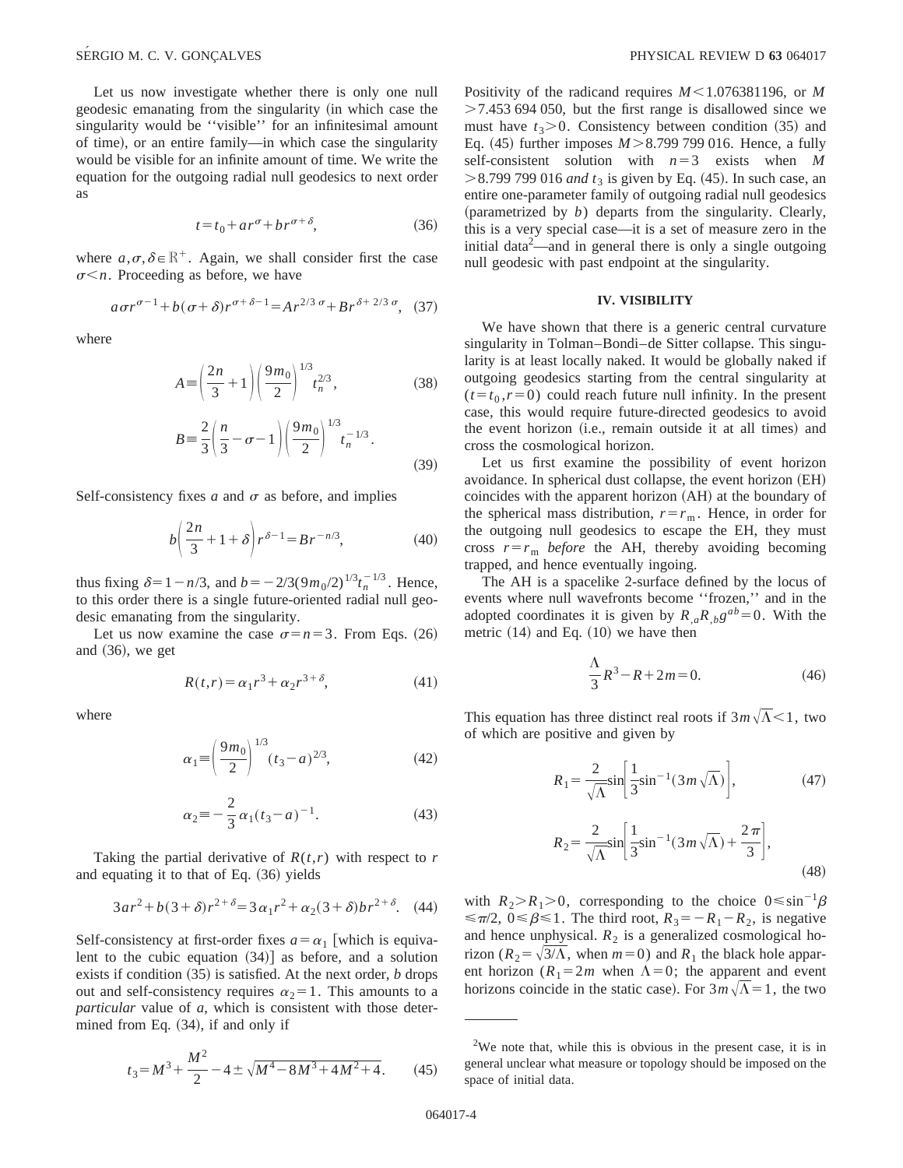Let us now investigate whether there is only one null geodesic emanating from the singularity (in which case the singularity would be ''visible'' for an infinitesimal amount of time), or an entire family—in which case the singularity would be visible for an infinite amount of time. We write the equation for the outgoing radial null geodesics to next order as

$$
t = t_0 + ar^{\sigma} + br^{\sigma + \delta}, \tag{36}
$$

where  $a, \sigma, \delta \in \mathbb{R}^+$ . Again, we shall consider first the case  $\sigma$ <*n*. Proceeding as before, we have

$$
a\sigma r^{\sigma-1} + b(\sigma+\delta)r^{\sigma+\delta-1} = Ar^{2/3}\sigma + Br^{\delta+2/3}\sigma, (37)
$$

where

$$
A = \left(\frac{2n}{3} + 1\right) \left(\frac{9m_0}{2}\right)^{1/3} t_n^{2/3},\tag{38}
$$

$$
B = \frac{2}{3} \left( \frac{n}{3} - \sigma - 1 \right) \left( \frac{9m_0}{2} \right)^{1/3} t_n^{-1/3} . \tag{39}
$$

Self-consistency fixes  $a$  and  $\sigma$  as before, and implies

$$
b\left(\frac{2n}{3} + 1 + \delta\right) r^{\delta - 1} = B r^{-n/3},\tag{40}
$$

thus fixing  $\delta=1-n/3$ , and  $b=-2/3(9m_0/2)^{1/3}t_n^{-1/3}$ . Hence, to this order there is a single future-oriented radial null geodesic emanating from the singularity.

Let us now examine the case  $\sigma$ = $n=3$ . From Eqs. (26) and  $(36)$ , we get

$$
R(t,r) = \alpha_1 r^3 + \alpha_2 r^{3+\delta},\tag{41}
$$

where

$$
\alpha_1 = \left(\frac{9m_0}{2}\right)^{1/3} (t_3 - a)^{2/3},\tag{42}
$$

$$
\alpha_2 \equiv -\frac{2}{3} \alpha_1 (t_3 - a)^{-1}.
$$
 (43)

Taking the partial derivative of  $R(t,r)$  with respect to  $r$ and equating it to that of Eq.  $(36)$  yields

$$
3ar^{2} + b(3+\delta)r^{2+\delta} = 3\alpha_{1}r^{2} + \alpha_{2}(3+\delta)br^{2+\delta}.
$$
 (44)

Self-consistency at first-order fixes  $a = \alpha_1$  [which is equivalent to the cubic equation  $(34)$  as before, and a solution exists if condition  $(35)$  is satisfied. At the next order, *b* drops out and self-consistency requires  $\alpha_2 = 1$ . This amounts to a *particular* value of *a*, which is consistent with those determined from Eq.  $(34)$ , if and only if

$$
t_3 = M^3 + \frac{M^2}{2} - 4 \pm \sqrt{M^4 - 8M^3 + 4M^2 + 4}.
$$
 (45)

Positivity of the radicand requires  $M < 1.076381196$ , or *M*  $>7.453$  694 050, but the first range is disallowed since we must have  $t_3$  $> 0$ . Consistency between condition  $(35)$  and Eq. (45) further imposes  $M > 8.799$  799 016. Hence, a fully self-consistent solution with  $n=3$  exists when *M*  $>8.799$  799 016 *and t*<sub>3</sub> is given by Eq. (45). In such case, an entire one-parameter family of outgoing radial null geodesics (parametrized by  $b$ ) departs from the singularity. Clearly, this is a very special case—it is a set of measure zero in the initial data $^{2}$ —and in general there is only a single outgoing null geodesic with past endpoint at the singularity.

#### **IV. VISIBILITY**

We have shown that there is a generic central curvature singularity in Tolman–Bondi–de Sitter collapse. This singularity is at least locally naked. It would be globally naked if outgoing geodesics starting from the central singularity at  $(t=t_0, r=0)$  could reach future null infinity. In the present case, this would require future-directed geodesics to avoid the event horizon (i.e., remain outside it at all times) and cross the cosmological horizon.

Let us first examine the possibility of event horizon avoidance. In spherical dust collapse, the event horizon (EH) coincides with the apparent horizon (AH) at the boundary of the spherical mass distribution,  $r=r<sub>m</sub>$ . Hence, in order for the outgoing null geodesics to escape the EH, they must cross  $r = r_m$  *before* the AH, thereby avoiding becoming trapped, and hence eventually ingoing.

The AH is a spacelike 2-surface defined by the locus of events where null wavefronts become ''frozen,'' and in the adopted coordinates it is given by  $R_{a}R_{b}g^{ab}=0$ . With the metric  $(14)$  and Eq.  $(10)$  we have then

$$
\frac{\Lambda}{3}R^3 - R + 2m = 0.
$$
 (46)

This equation has three distinct real roots if  $3m\sqrt{\Lambda} < 1$ , two of which are positive and given by

$$
R_1 = \frac{2}{\sqrt{\Lambda}} \sin\left[\frac{1}{3} \sin^{-1} (3m\sqrt{\Lambda})\right],\tag{47}
$$

$$
R_2 = \frac{2}{\sqrt{\Lambda}} \sin \left[ \frac{1}{3} \sin^{-1} (3m\sqrt{\Lambda}) + \frac{2\pi}{3} \right],
$$
\n(48)

with  $R_2 > R_1 > 0$ , corresponding to the choice  $0 \le \sin^{-1} \beta$  $\leq \pi/2$ ,  $0 \leq \beta \leq 1$ . The third root,  $R_3 = -R_1 - R_2$ , is negative and hence unphysical.  $R_2$  is a generalized cosmological horizon ( $R_2 = \sqrt{3}/\Lambda$ , when  $m=0$ ) and  $R_1$  the black hole apparent horizon ( $R_1 = 2m$  when  $\Lambda = 0$ ; the apparent and event horizons coincide in the static case). For  $3m\sqrt{\Lambda}=1$ , the two

 $2$ We note that, while this is obvious in the present case, it is in general unclear what measure or topology should be imposed on the space of initial data.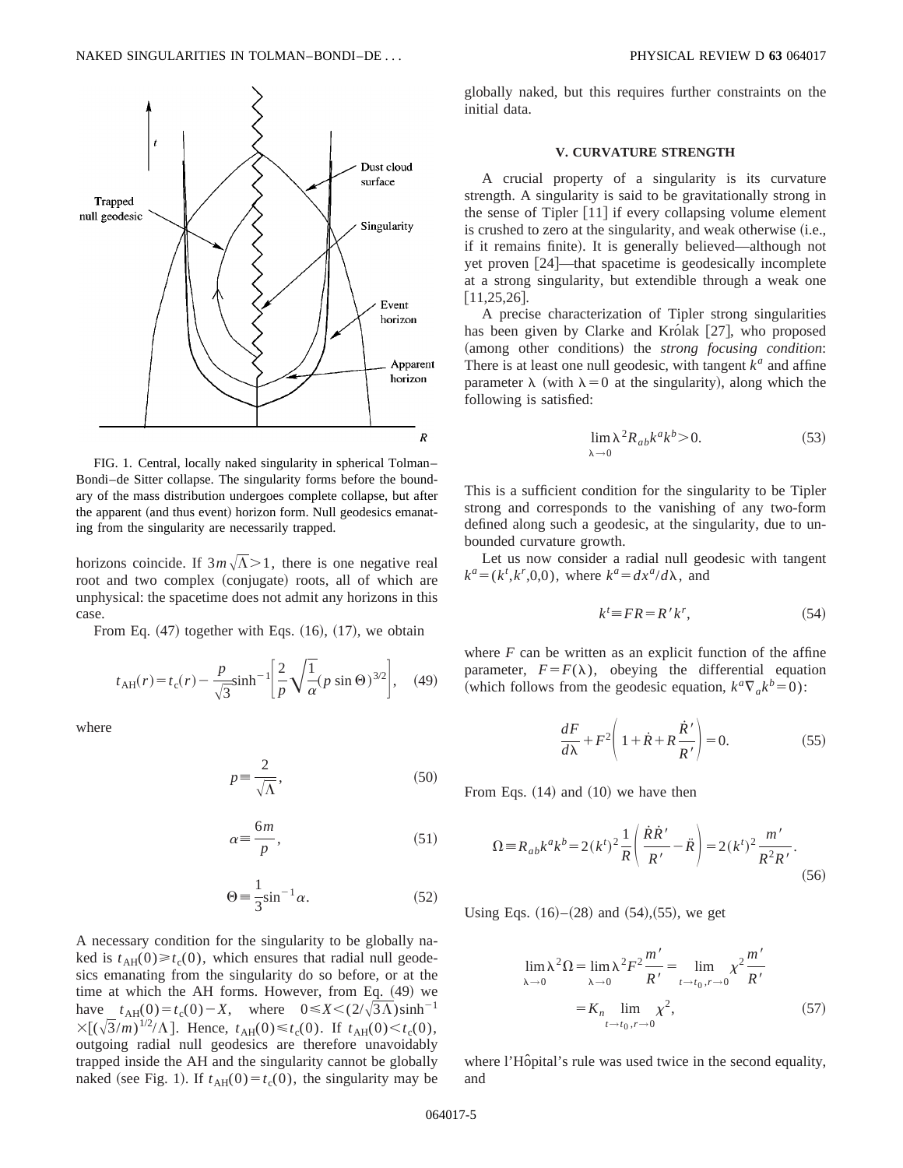

FIG. 1. Central, locally naked singularity in spherical Tolman– Bondi–de Sitter collapse. The singularity forms before the boundary of the mass distribution undergoes complete collapse, but after the apparent (and thus event) horizon form. Null geodesics emanating from the singularity are necessarily trapped.

horizons coincide. If  $3m\sqrt{\Lambda} > 1$ , there is one negative real root and two complex (conjugate) roots, all of which are unphysical: the spacetime does not admit any horizons in this case.

From Eq.  $(47)$  together with Eqs.  $(16)$ ,  $(17)$ , we obtain

$$
t_{\text{AH}}(r) = t_c(r) - \frac{p}{\sqrt{3}} \sinh^{-1} \left[ \frac{2}{p} \sqrt{\frac{1}{\alpha}} (p \sin \Theta)^{3/2} \right],
$$
 (49)

where

$$
p = \frac{2}{\sqrt{\Lambda}},\tag{50}
$$

$$
\alpha \equiv \frac{6m}{p},\tag{51}
$$

$$
\Theta = \frac{1}{3}\sin^{-1}\alpha. \tag{52}
$$

A necessary condition for the singularity to be globally naked is  $t_{\text{AH}}(0) \geq t_c(0)$ , which ensures that radial null geodesics emanating from the singularity do so before, or at the time at which the AH forms. However, from Eq.  $(49)$  we have  $t_{\text{AH}}(0) = t_c(0) - X$ , where  $0 \le X \le (2/\sqrt{3\Lambda})\sinh^{-1}$  $\times$ [ $(\sqrt{3}/m)^{1/2}/\Lambda$ ]. Hence,  $t_{\text{AH}}(0) \le t_c(0)$ . If  $t_{\text{AH}}(0) \le t_c(0)$ , outgoing radial null geodesics are therefore unavoidably trapped inside the AH and the singularity cannot be globally naked (see Fig. 1). If  $t_{AH}(0) = t_c(0)$ , the singularity may be globally naked, but this requires further constraints on the initial data.

#### **V. CURVATURE STRENGTH**

A crucial property of a singularity is its curvature strength. A singularity is said to be gravitationally strong in the sense of Tipler  $[11]$  if every collapsing volume element is crushed to zero at the singularity, and weak otherwise  $(i.e.,$ if it remains finite). It is generally believed—although not yet proven  $|24|$ —that spacetime is geodesically incomplete at a strong singularity, but extendible through a weak one  $[11,25,26]$ .

A precise characterization of Tipler strong singularities has been given by Clarke and Królak  $[27]$ , who proposed (among other conditions) the *strong focusing condition*: There is at least one null geodesic, with tangent  $k^a$  and affine parameter  $\lambda$  (with  $\lambda = 0$  at the singularity), along which the following is satisfied:

$$
\lim_{\lambda \to 0} \lambda^2 R_{ab} k^a k^b > 0. \tag{53}
$$

This is a sufficient condition for the singularity to be Tipler strong and corresponds to the vanishing of any two-form defined along such a geodesic, at the singularity, due to unbounded curvature growth.

Let us now consider a radial null geodesic with tangent  $k^a = (k^t, k^r, 0, 0)$ , where  $k^a = dx^a/d\lambda$ , and

$$
k^t \equiv FR = R'k^r,\tag{54}
$$

where *F* can be written as an explicit function of the affine parameter,  $F = F(\lambda)$ , obeying the differential equation (which follows from the geodesic equation,  $k^a \nabla_a k^b = 0$ ):

$$
\frac{dF}{d\lambda} + F^2 \left( 1 + \dot{R} + R \frac{\dot{R}'}{R'} \right) = 0.
$$
 (55)

From Eqs.  $(14)$  and  $(10)$  we have then

$$
\Omega = R_{ab}k^{a}k^{b} = 2(k^{t})^{2} \frac{1}{R} \left( \frac{\dot{R}\dot{R}'}{R'} - \ddot{R} \right) = 2(k^{t})^{2} \frac{m'}{R^{2}R'}.
$$
\n(56)

Using Eqs.  $(16)–(28)$  and  $(54)$ ,  $(55)$ , we get

$$
\lim_{\lambda \to 0} \lambda^2 \Omega = \lim_{\lambda \to 0} \lambda^2 F^2 \frac{m'}{R'} = \lim_{t \to t_0, r \to 0} \chi^2 \frac{m'}{R'}
$$

$$
= K_n \lim_{t \to t_0, r \to 0} \chi^2,
$$
(57)

where l'Hôpital's rule was used twice in the second equality, and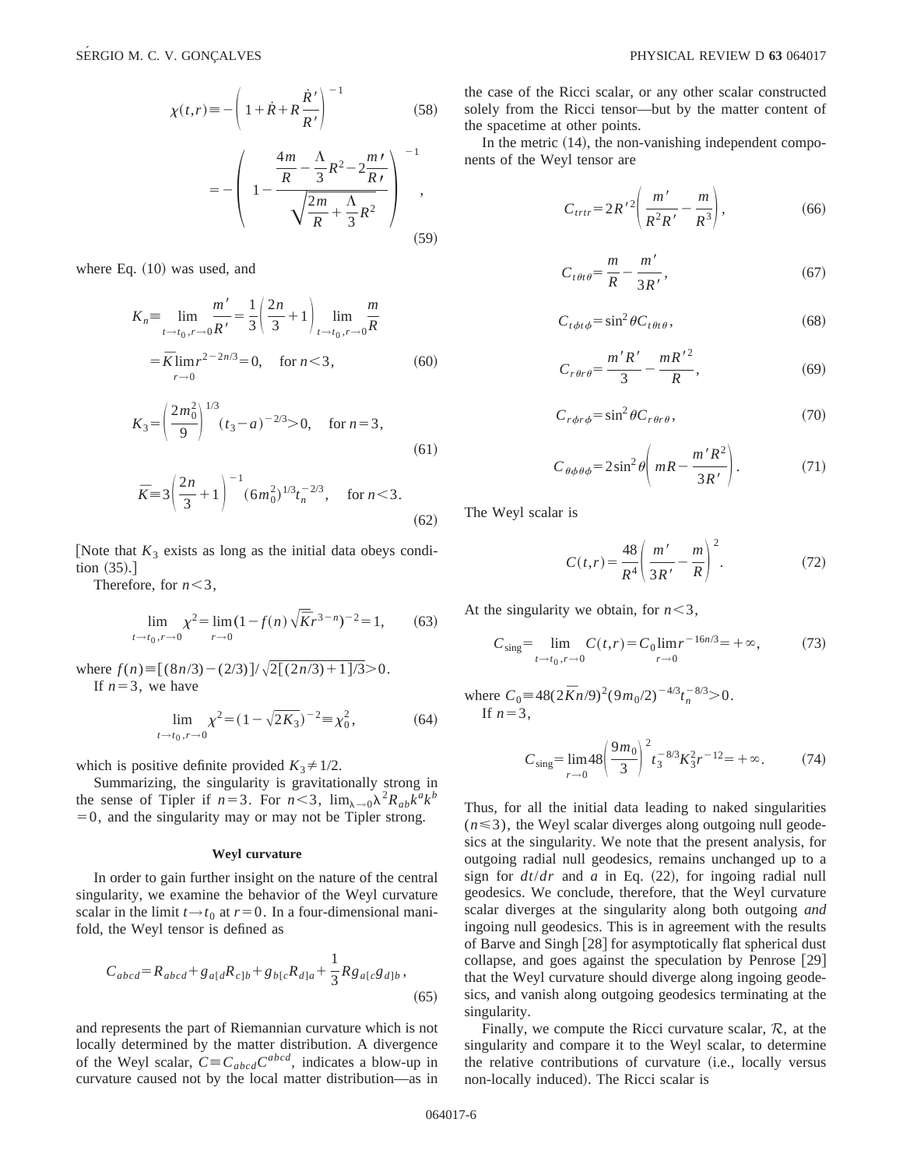$$
\chi(t,r) \equiv -\left(1 + \dot{R} + R\frac{\dot{R}'}{R'}\right)^{-1} \tag{58}
$$

$$
= -\left(1 - \frac{\frac{4m}{R} - \frac{\Lambda}{3}R^2 - 2\frac{m}{R}r}{\sqrt{\frac{2m}{R} + \frac{\Lambda}{3}R^2}}\right)^{-1},
$$
\n(59)

where Eq.  $(10)$  was used, and

$$
K_n \equiv \lim_{t \to t_0, r \to 0} \frac{m'}{R'} = \frac{1}{3} \left( \frac{2n}{3} + 1 \right) \lim_{t \to t_0, r \to 0} \frac{m}{R}
$$
  
=  $\bar{K} \lim_{r \to 0} r^{2-2n/3} = 0$ , for  $n < 3$ , (60)

$$
K_3 = \left(\frac{2m_0^2}{9}\right)^{1/3} (t_3 - a)^{-2/3} > 0, \quad \text{for } n = 3,
$$
\n(61)

$$
\bar{K} = 3\left(\frac{2n}{3} + 1\right)^{-1} (6m_0^2)^{1/3} t_n^{-2/3}, \quad \text{for } n < 3.
$$
 (62)

[Note that  $K_3$  exists as long as the initial data obeys condi- $~1$  tion  $(35).$ 

Therefore, for  $n < 3$ ,

$$
\lim_{t \to t_0, r \to 0} \chi^2 = \lim_{r \to 0} (1 - f(n) \sqrt{\overline{K}} r^{3-n})^{-2} = 1,
$$
 (63)

where  $f(n) \equiv [(8n/3)-(2/3)]/\sqrt{2[(2n/3)+1]/3}>0.$ If  $n=3$ , we have

$$
\lim_{t \to t_0, r \to 0} \chi^2 = (1 - \sqrt{2K_3})^{-2} \equiv \chi_0^2,\tag{64}
$$

which is positive definite provided  $K_3 \neq 1/2$ .

Summarizing, the singularity is gravitationally strong in the sense of Tipler if  $n=3$ . For  $n<3$ ,  $\lim_{\lambda\to 0} \lambda^2 R_{ab}k^a k^b$  $=0$ , and the singularity may or may not be Tipler strong.

#### **Weyl curvature**

In order to gain further insight on the nature of the central singularity, we examine the behavior of the Weyl curvature scalar in the limit  $t \rightarrow t_0$  at  $r=0$ . In a four-dimensional manifold, the Weyl tensor is defined as

$$
C_{abcd} = R_{abcd} + g_{a[d}R_{c]b} + g_{b[c}R_{d]a} + \frac{1}{3}Rg_{a[c}g_{d]b},
$$
\n(65)

and represents the part of Riemannian curvature which is not locally determined by the matter distribution. A divergence of the Weyl scalar,  $C \equiv C_{abcd}C^{abcd}$ , indicates a blow-up in curvature caused not by the local matter distribution—as in the case of the Ricci scalar, or any other scalar constructed solely from the Ricci tensor—but by the matter content of the spacetime at other points.

In the metric  $(14)$ , the non-vanishing independent components of the Weyl tensor are

$$
C_{trtr} = 2R'^2 \left( \frac{m'}{R^2 R'} - \frac{m}{R^3} \right),
$$
 (66)

$$
C_{t\theta t\theta} = \frac{m}{R} - \frac{m'}{3R'},\tag{67}
$$

$$
C_{t\phi t\phi} = \sin^2\theta C_{t\theta t\theta},\tag{68}
$$

$$
C_{r\theta r\theta} = \frac{m'R'}{3} - \frac{mR'^2}{R},
$$
\n(69)

$$
C_{r\phi r\phi} = \sin^2 \theta C_{r\theta r\theta},\tag{70}
$$

$$
C_{\theta\phi\theta\phi} = 2\sin^2\theta \left( mR - \frac{m'R^2}{3R'} \right). \tag{71}
$$

The Weyl scalar is

$$
C(t,r) = \frac{48}{R^4} \left( \frac{m'}{3R'} - \frac{m}{R} \right)^2.
$$
 (72)

At the singularity we obtain, for  $n < 3$ ,

$$
C_{\text{sing}} = \lim_{t \to t_0, r \to 0} C(t, r) = C_0 \lim_{r \to 0} r^{-16n/3} = +\infty, \tag{73}
$$

where  $C_0$  = 48( $2\bar{K}n/9$ )<sup>2</sup>(9 $m_0/2$ )<sup>-4/3</sup> $t_n^{-8/3}$  > 0. If  $n=3$ ,

$$
C_{\text{sing}} = \lim_{r \to 0} 48 \left( \frac{9m_0}{3} \right)^2 t_3^{-8/3} K_3^2 r^{-12} = +\infty. \tag{74}
$$

Thus, for all the initial data leading to naked singularities  $(n \leq 3)$ , the Weyl scalar diverges along outgoing null geodesics at the singularity. We note that the present analysis, for outgoing radial null geodesics, remains unchanged up to a sign for  $dt/dr$  and  $a$  in Eq.  $(22)$ , for ingoing radial null geodesics. We conclude, therefore, that the Weyl curvature scalar diverges at the singularity along both outgoing *and* ingoing null geodesics. This is in agreement with the results of Barve and Singh  $\lfloor 28 \rfloor$  for asymptotically flat spherical dust collapse, and goes against the speculation by Penrose  $[29]$ that the Weyl curvature should diverge along ingoing geodesics, and vanish along outgoing geodesics terminating at the singularity.

Finally, we compute the Ricci curvature scalar,  $\mathcal{R}$ , at the singularity and compare it to the Weyl scalar, to determine the relative contributions of curvature (i.e., locally versus non-locally induced). The Ricci scalar is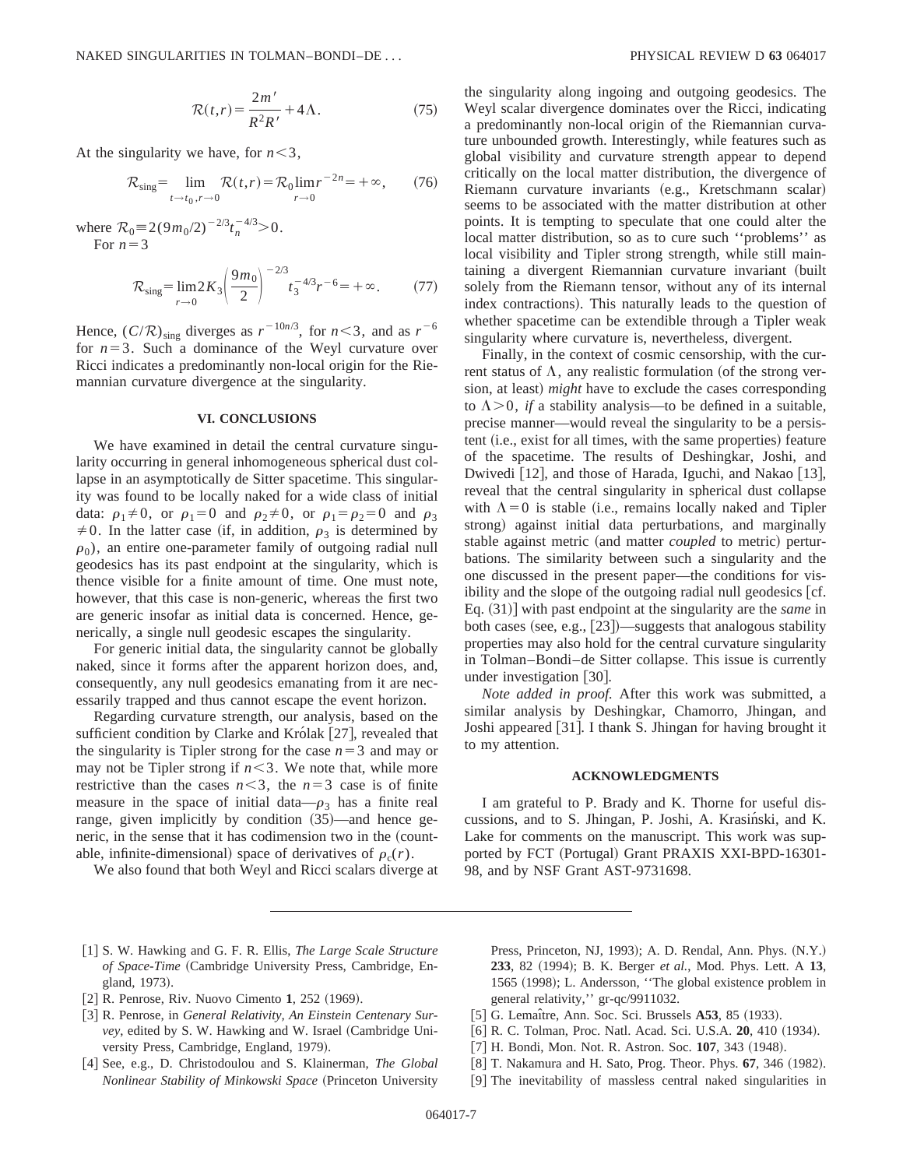$$
\mathcal{R}(t,r) = \frac{2m'}{R^2 R'} + 4\Lambda.
$$
 (75)

At the singularity we have, for  $n < 3$ ,

$$
\mathcal{R}_{\text{sing}} = \lim_{t \to t_0, r \to 0} \mathcal{R}(t, r) = \mathcal{R}_0 \lim_{r \to 0} r^{-2n} = +\infty, \qquad (76)
$$

where  $\mathcal{R}_0 \equiv 2(9m_0/2)^{-2/3}t_n^{-4/3} > 0$ . For  $n=3$ 

$$
\mathcal{R}_{\text{sing}} = \lim_{r \to 0} 2K_3 \left( \frac{9m_0}{2} \right)^{-2/3} t_3^{-4/3} r^{-6} = +\infty. \tag{77}
$$

Hence,  $(C/R)_{sing}$  diverges as  $r^{-10n/3}$ , for  $n < 3$ , and as  $r^{-6}$ for  $n=3$ . Such a dominance of the Weyl curvature over Ricci indicates a predominantly non-local origin for the Riemannian curvature divergence at the singularity.

#### **VI. CONCLUSIONS**

We have examined in detail the central curvature singularity occurring in general inhomogeneous spherical dust collapse in an asymptotically de Sitter spacetime. This singularity was found to be locally naked for a wide class of initial data:  $\rho_1 \neq 0$ , or  $\rho_1 = 0$  and  $\rho_2 \neq 0$ , or  $\rho_1 = \rho_2 = 0$  and  $\rho_3$  $\neq$ 0. In the latter case (if, in addition,  $\rho_3$  is determined by  $\rho_0$ ), an entire one-parameter family of outgoing radial null geodesics has its past endpoint at the singularity, which is thence visible for a finite amount of time. One must note, however, that this case is non-generic, whereas the first two are generic insofar as initial data is concerned. Hence, generically, a single null geodesic escapes the singularity.

For generic initial data, the singularity cannot be globally naked, since it forms after the apparent horizon does, and, consequently, any null geodesics emanating from it are necessarily trapped and thus cannot escape the event horizon.

Regarding curvature strength, our analysis, based on the sufficient condition by Clarke and Królak  $[27]$ , revealed that the singularity is Tipler strong for the case  $n=3$  and may or may not be Tipler strong if  $n < 3$ . We note that, while more restrictive than the cases  $n < 3$ , the  $n=3$  case is of finite measure in the space of initial data $-\rho_3$  has a finite real range, given implicitly by condition  $(35)$ —and hence generic, in the sense that it has codimension two in the (countable, infinite-dimensional) space of derivatives of  $\rho_c(r)$ .

We also found that both Weyl and Ricci scalars diverge at

the singularity along ingoing and outgoing geodesics. The Weyl scalar divergence dominates over the Ricci, indicating a predominantly non-local origin of the Riemannian curvature unbounded growth. Interestingly, while features such as global visibility and curvature strength appear to depend critically on the local matter distribution, the divergence of Riemann curvature invariants (e.g., Kretschmann scalar) seems to be associated with the matter distribution at other points. It is tempting to speculate that one could alter the local matter distribution, so as to cure such ''problems'' as local visibility and Tipler strong strength, while still maintaining a divergent Riemannian curvature invariant (built solely from the Riemann tensor, without any of its internal index contractions). This naturally leads to the question of whether spacetime can be extendible through a Tipler weak singularity where curvature is, nevertheless, divergent.

Finally, in the context of cosmic censorship, with the current status of  $\Lambda$ , any realistic formulation (of the strong version, at least) *might* have to exclude the cases corresponding to  $\Lambda > 0$ , *if* a stability analysis—to be defined in a suitable, precise manner—would reveal the singularity to be a persistent (i.e., exist for all times, with the same properties) feature of the spacetime. The results of Deshingkar, Joshi, and Dwivedi  $|12|$ , and those of Harada, Iguchi, and Nakao  $|13|$ , reveal that the central singularity in spherical dust collapse with  $\Lambda = 0$  is stable (i.e., remains locally naked and Tipler strong) against initial data perturbations, and marginally stable against metric (and matter *coupled* to metric) perturbations. The similarity between such a singularity and the one discussed in the present paper—the conditions for visibility and the slope of the outgoing radial null geodesics [cf. Eq. (31)] with past endpoint at the singularity are the *same* in both cases (see, e.g.,  $[23]$ )—suggests that analogous stability properties may also hold for the central curvature singularity in Tolman–Bondi–de Sitter collapse. This issue is currently under investigation  $\lceil 30 \rceil$ .

*Note added in proof.* After this work was submitted, a similar analysis by Deshingkar, Chamorro, Jhingan, and Joshi appeared [31]. I thank S. Jhingan for having brought it to my attention.

### **ACKNOWLEDGMENTS**

I am grateful to P. Brady and K. Thorne for useful discussions, and to S. Jhingan, P. Joshi, A. Krasiński, and K. Lake for comments on the manuscript. This work was supported by FCT (Portugal) Grant PRAXIS XXI-BPD-16301-98, and by NSF Grant AST-9731698.

- [1] S. W. Hawking and G. F. R. Ellis, *The Large Scale Structure* of Space-Time (Cambridge University Press, Cambridge, England, 1973).
- [2] R. Penrose, Riv. Nuovo Cimento 1, 252 (1969).
- [3] R. Penrose, in *General Relativity*, An *Einstein Centenary Survey*, edited by S. W. Hawking and W. Israel (Cambridge University Press, Cambridge, England, 1979).
- @4# See, e.g., D. Christodoulou and S. Klainerman, *The Global Nonlinear Stability of Minkowski Space* (Princeton University

Press, Princeton, NJ, 1993); A. D. Rendal, Ann. Phys. (N.Y.) 233, 82 (1994); B. K. Berger *et al.*, Mod. Phys. Lett. A 13, 1565 (1998); L. Andersson, "The global existence problem in general relativity,'' gr-qc/9911032.

- [5] G. Lemaître, Ann. Soc. Sci. Brussels **A53**, 85 (1933).
- [6] R. C. Tolman, Proc. Natl. Acad. Sci. U.S.A. **20**, 410 (1934).
- [7] H. Bondi, Mon. Not. R. Astron. Soc. 107, 343 (1948).
- [8] T. Nakamura and H. Sato, Prog. Theor. Phys. **67**, 346 (1982).
- [9] The inevitability of massless central naked singularities in